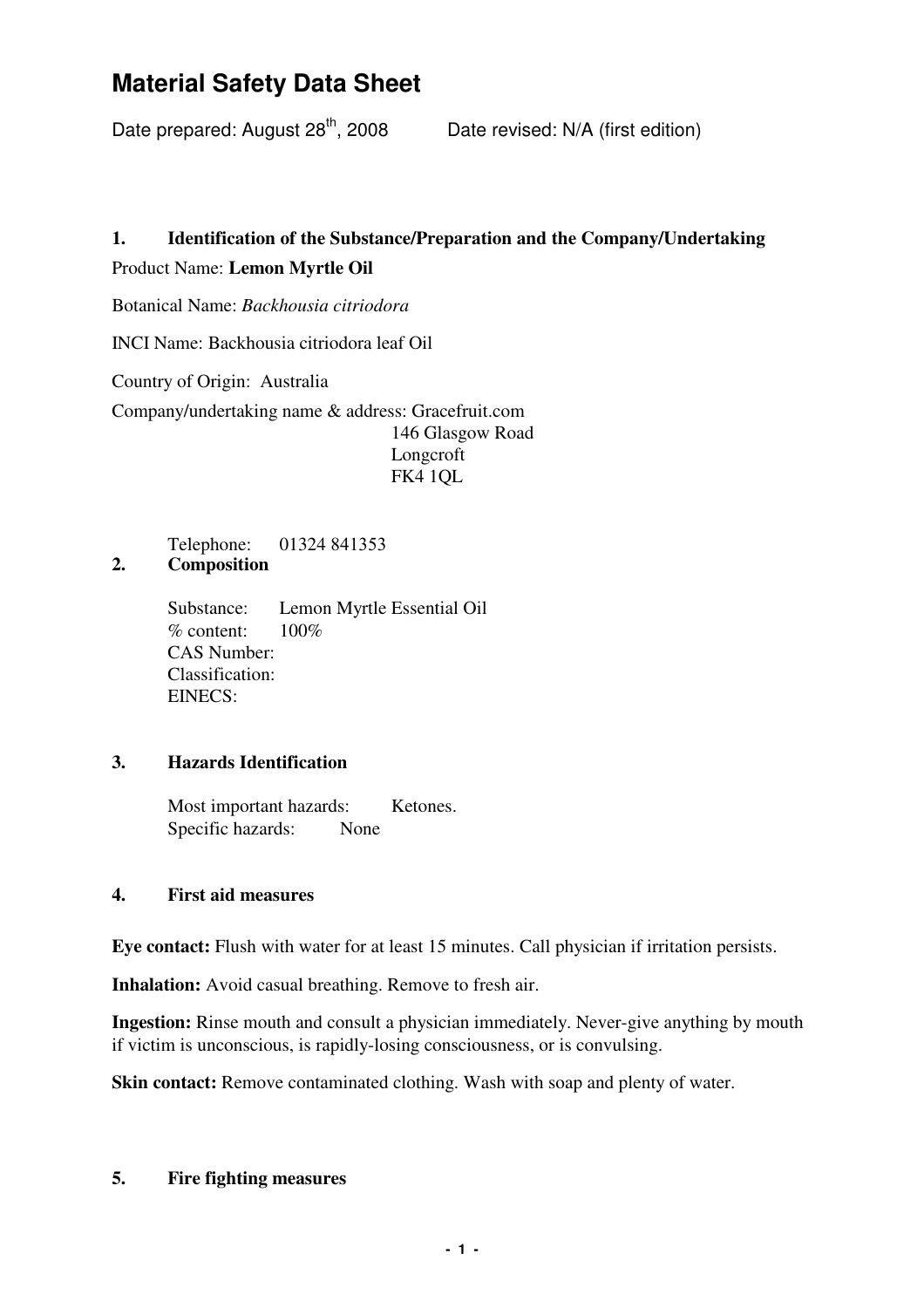Date prepared: August  $28^{th}$ , 2008 Date revised: N/A (first edition)

# **1. Identification of the Substance/Preparation and the Company/Undertaking** Product Name: **Lemon Myrtle Oil**

Botanical Name: *Backhousia citriodora*

INCI Name: Backhousia citriodora leaf Oil

Country of Origin: Australia

Company/undertaking name & address: Gracefruit.com 146 Glasgow Road Longcroft FK4 1QL

**2. Composition** Telephone: 01324 841353

> Substance: Lemon Myrtle Essential Oil % content: 100% CAS Number: Classification: EINECS:

### **3. Hazards Identification**

Most important hazards: Ketones. Specific hazards: None

### **4. First aid measures**

**Eye contact:** Flush with water for at least 15 minutes. Call physician if irritation persists.

**Inhalation:** Avoid casual breathing. Remove to fresh air.

**Ingestion:** Rinse mouth and consult a physician immediately. Never-give anything by mouth if victim is unconscious, is rapidly-losing consciousness, or is convulsing.

**Skin contact:** Remove contaminated clothing. Wash with soap and plenty of water.

### **5. Fire fighting measures**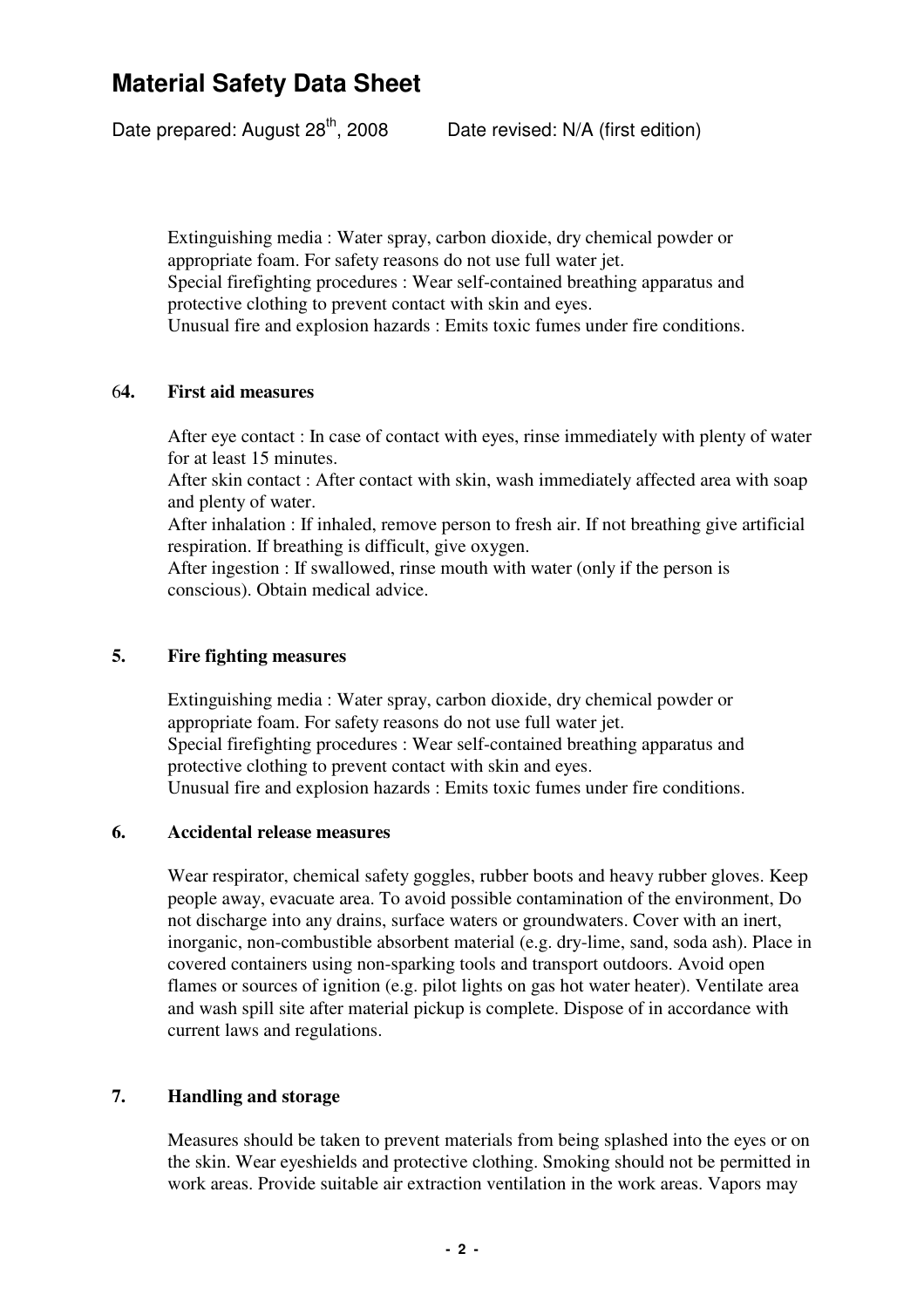Date prepared: August  $28^{th}$ , 2008 Date revised: N/A (first edition)

Extinguishing media : Water spray, carbon dioxide, dry chemical powder or appropriate foam. For safety reasons do not use full water jet. Special firefighting procedures : Wear self-contained breathing apparatus and protective clothing to prevent contact with skin and eyes. Unusual fire and explosion hazards : Emits toxic fumes under fire conditions.

#### 6**4. First aid measures**

After eye contact : In case of contact with eyes, rinse immediately with plenty of water for at least 15 minutes.

After skin contact : After contact with skin, wash immediately affected area with soap and plenty of water.

After inhalation : If inhaled, remove person to fresh air. If not breathing give artificial respiration. If breathing is difficult, give oxygen.

After ingestion : If swallowed, rinse mouth with water (only if the person is conscious). Obtain medical advice.

#### **5. Fire fighting measures**

Extinguishing media : Water spray, carbon dioxide, dry chemical powder or appropriate foam. For safety reasons do not use full water jet. Special firefighting procedures : Wear self-contained breathing apparatus and protective clothing to prevent contact with skin and eyes. Unusual fire and explosion hazards : Emits toxic fumes under fire conditions.

#### **6. Accidental release measures**

Wear respirator, chemical safety goggles, rubber boots and heavy rubber gloves. Keep people away, evacuate area. To avoid possible contamination of the environment, Do not discharge into any drains, surface waters or groundwaters. Cover with an inert, inorganic, non-combustible absorbent material (e.g. dry-lime, sand, soda ash). Place in covered containers using non-sparking tools and transport outdoors. Avoid open flames or sources of ignition (e.g. pilot lights on gas hot water heater). Ventilate area and wash spill site after material pickup is complete. Dispose of in accordance with current laws and regulations.

### **7. Handling and storage**

Measures should be taken to prevent materials from being splashed into the eyes or on the skin. Wear eyeshields and protective clothing. Smoking should not be permitted in work areas. Provide suitable air extraction ventilation in the work areas. Vapors may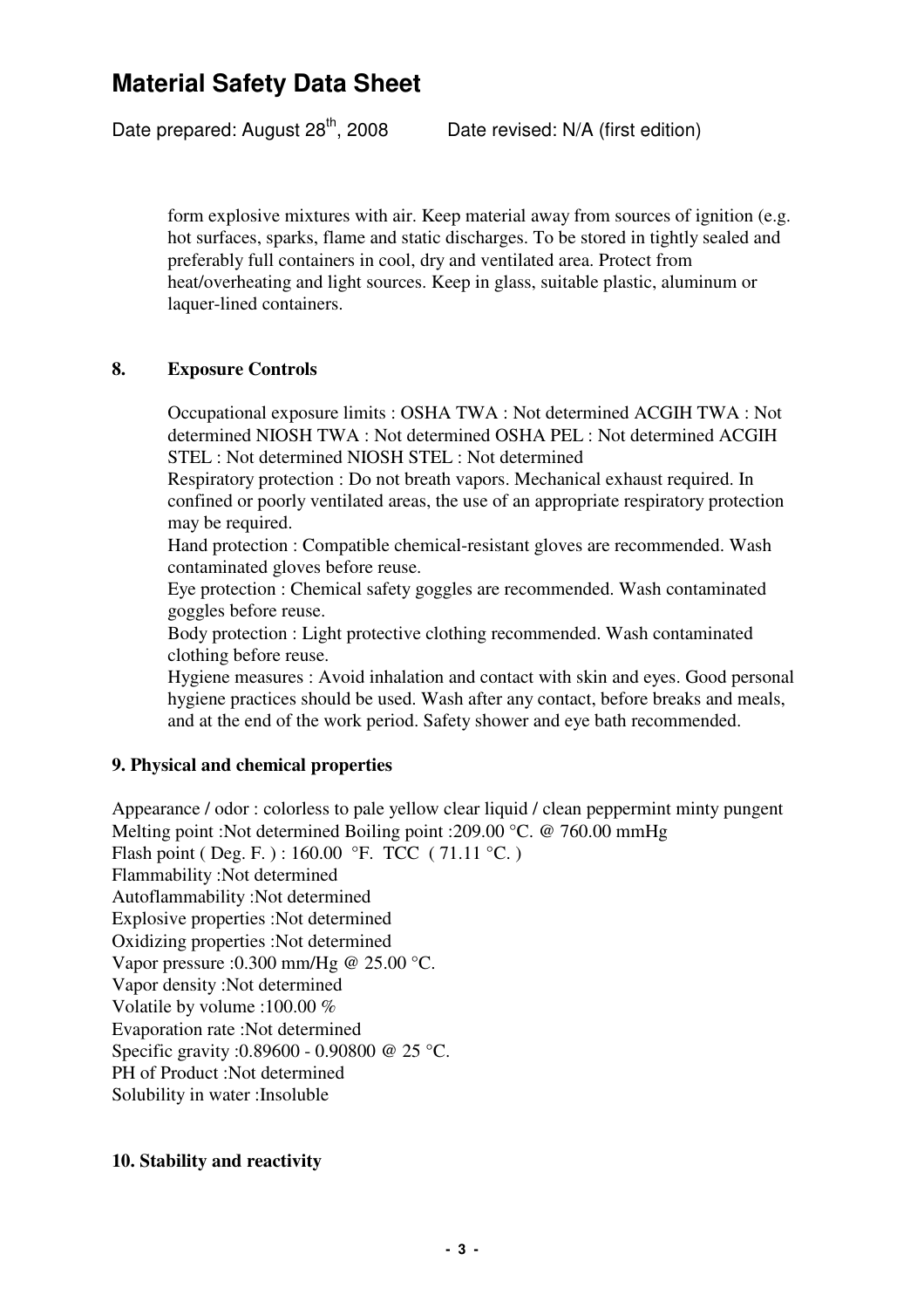Date prepared: August  $28^{th}$ , 2008 Date revised: N/A (first edition)

form explosive mixtures with air. Keep material away from sources of ignition (e.g. hot surfaces, sparks, flame and static discharges. To be stored in tightly sealed and preferably full containers in cool, dry and ventilated area. Protect from heat/overheating and light sources. Keep in glass, suitable plastic, aluminum or laquer-lined containers.

#### **8. Exposure Controls**

Occupational exposure limits : OSHA TWA : Not determined ACGIH TWA : Not determined NIOSH TWA : Not determined OSHA PEL : Not determined ACGIH STEL : Not determined NIOSH STEL : Not determined

Respiratory protection : Do not breath vapors. Mechanical exhaust required. In confined or poorly ventilated areas, the use of an appropriate respiratory protection may be required.

Hand protection : Compatible chemical-resistant gloves are recommended. Wash contaminated gloves before reuse.

Eye protection : Chemical safety goggles are recommended. Wash contaminated goggles before reuse.

Body protection : Light protective clothing recommended. Wash contaminated clothing before reuse.

Hygiene measures : Avoid inhalation and contact with skin and eyes. Good personal hygiene practices should be used. Wash after any contact, before breaks and meals, and at the end of the work period. Safety shower and eye bath recommended.

### **9. Physical and chemical properties**

Appearance / odor : colorless to pale yellow clear liquid / clean peppermint minty pungent Melting point :Not determined Boiling point :209.00 °C. @ 760.00 mmHg Flash point ( Deg. F. ) : 160.00 °F. TCC ( 71.11 °C. ) Flammability :Not determined Autoflammability :Not determined Explosive properties :Not determined Oxidizing properties :Not determined Vapor pressure :0.300 mm/Hg @ 25.00 °C. Vapor density :Not determined Volatile by volume :100.00 % Evaporation rate :Not determined Specific gravity :0.89600 - 0.90800 @ 25 °C. PH of Product :Not determined Solubility in water :Insoluble

#### **10. Stability and reactivity**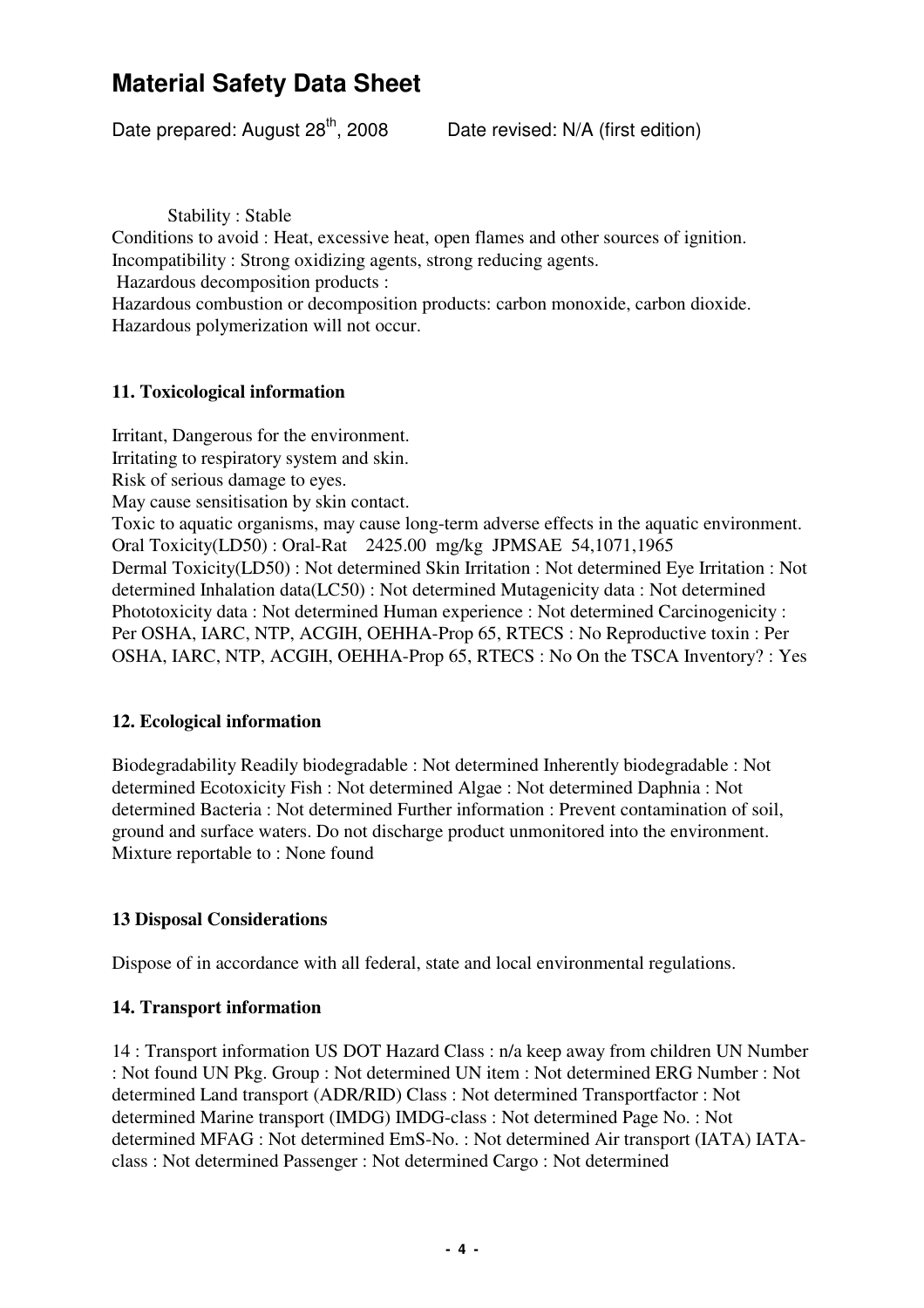Date prepared: August  $28^{th}$ , 2008 Date revised: N/A (first edition)

Stability : Stable

Conditions to avoid : Heat, excessive heat, open flames and other sources of ignition. Incompatibility : Strong oxidizing agents, strong reducing agents.

Hazardous decomposition products :

Hazardous combustion or decomposition products: carbon monoxide, carbon dioxide. Hazardous polymerization will not occur.

### **11. Toxicological information**

Irritant, Dangerous for the environment. Irritating to respiratory system and skin. Risk of serious damage to eyes. May cause sensitisation by skin contact. Toxic to aquatic organisms, may cause long-term adverse effects in the aquatic environment. Oral Toxicity(LD50) : Oral-Rat 2425.00 mg/kg JPMSAE 54,1071,1965 Dermal Toxicity(LD50) : Not determined Skin Irritation : Not determined Eye Irritation : Not determined Inhalation data(LC50) : Not determined Mutagenicity data : Not determined Phototoxicity data : Not determined Human experience : Not determined Carcinogenicity : Per OSHA, IARC, NTP, ACGIH, OEHHA-Prop 65, RTECS : No Reproductive toxin : Per OSHA, IARC, NTP, ACGIH, OEHHA-Prop 65, RTECS : No On the TSCA Inventory? : Yes

### **12. Ecological information**

Biodegradability Readily biodegradable : Not determined Inherently biodegradable : Not determined Ecotoxicity Fish : Not determined Algae : Not determined Daphnia : Not determined Bacteria : Not determined Further information : Prevent contamination of soil, ground and surface waters. Do not discharge product unmonitored into the environment. Mixture reportable to : None found

## **13 Disposal Considerations**

Dispose of in accordance with all federal, state and local environmental regulations.

### **14. Transport information**

14 : Transport information US DOT Hazard Class : n/a keep away from children UN Number : Not found UN Pkg. Group : Not determined UN item : Not determined ERG Number : Not determined Land transport (ADR/RID) Class : Not determined Transportfactor : Not determined Marine transport (IMDG) IMDG-class : Not determined Page No. : Not determined MFAG : Not determined EmS-No. : Not determined Air transport (IATA) IATAclass : Not determined Passenger : Not determined Cargo : Not determined